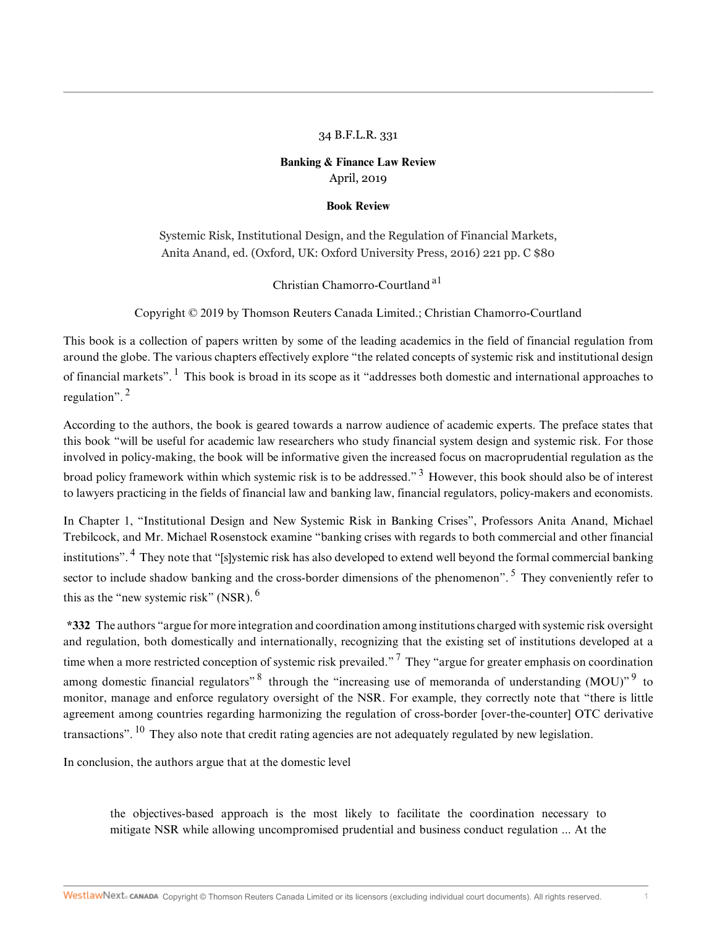### 34 B.F.L.R. 331

## **Banking & Finance Law Review** April, 2019

#### <span id="page-0-0"></span>**Book Review**

Systemic Risk, Institutional Design, and the Regulation of Financial Markets, Anita Anand, ed. (Oxford, UK: Oxford University Press, 2016) 221 pp. C \$80

<span id="page-0-9"></span><span id="page-0-5"></span><span id="page-0-3"></span>Christian Chamorro-Courtland [a1](#page-3-0)

<span id="page-0-1"></span>Copyright © 2019 by Thomson Reuters Canada Limited.; Christian Chamorro-Courtland

This book is a collection of papers written by some of the leading academics in the field of financial regulation from around the globe. The various chapters effectively explore "the related concepts of systemic risk and institutional design of financial markets".  $\frac{1}{1}$  $\frac{1}{1}$  $\frac{1}{1}$  This book is broad in its scope as it "addresses both domestic and international approaches to regulation". [2](#page-3-2)

<span id="page-0-2"></span>According to the authors, the book is geared towards a narrow audience of academic experts. The preface states that this book "will be useful for academic law researchers who study financial system design and systemic risk. For those involved in policy-making, the book will be informative given the increased focus on macroprudential regulation as the broad policy framework within which systemic risk is to be addressed."<sup>[3](#page-3-3)</sup> However, this book should also be of interest to lawyers practicing in the fields of financial law and banking law, financial regulators, policy-makers and economists.

<span id="page-0-4"></span>In Chapter 1, "Institutional Design and New Systemic Risk in Banking Crises", Professors Anita Anand, Michael Trebilcock, and Mr. Michael Rosenstock examine "banking crises with regards to both commercial and other financial institutions". <sup>[4](#page-3-4)</sup> They note that "[s]ystemic risk has also developed to extend well beyond the formal commercial banking sector to include shadow banking and the cross-border dimensions of the phenomenon". <sup>[5](#page-3-5)</sup> They conveniently refer to this as the "new systemic risk" (NSR).  $6$ 

<span id="page-0-8"></span><span id="page-0-6"></span>**\*332** The authors "argue for more integration and coordination among institutions charged with systemic risk oversight and regulation, both domestically and internationally, recognizing that the existing set of institutions developed at a time when a more restricted conception of systemic risk prevailed."<sup>[7](#page-3-7)</sup> They "argue for greater emphasis on coordination among domestic financial regulators"  $8$  through the "increasing use of memoranda of understanding (MOU)"  $9$  to monitor, manage and enforce regulatory oversight of the NSR. For example, they correctly note that "there is little agreement among countries regarding harmonizing the regulation of cross-border [over-the-counter] OTC derivative transactions". <sup>[10](#page-3-10)</sup> They also note that credit rating agencies are not adequately regulated by new legislation.

<span id="page-0-10"></span>In conclusion, the authors argue that at the domestic level

<span id="page-0-7"></span>the objectives-based approach is the most likely to facilitate the coordination necessary to mitigate NSR while allowing uncompromised prudential and business conduct regulation ... At the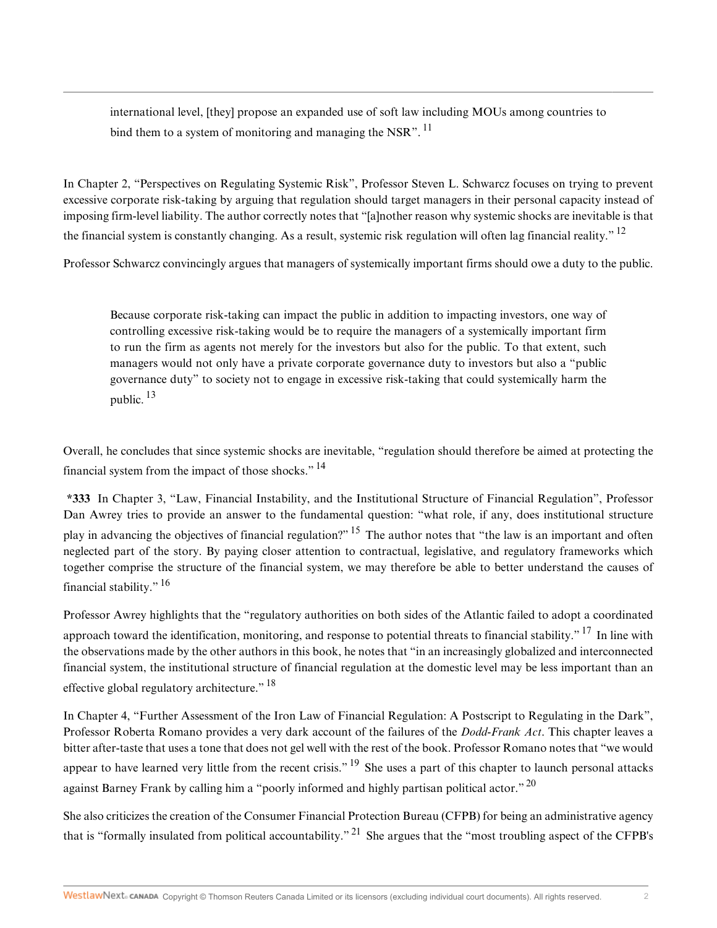<span id="page-1-0"></span>international level, [they] propose an expanded use of soft law including MOUs among countries to bind them to a system of monitoring and managing the NSR".  $^{11}$  $^{11}$  $^{11}$ 

In Chapter 2, "Perspectives on Regulating Systemic Risk", Professor Steven L. Schwarcz focuses on trying to prevent excessive corporate risk-taking by arguing that regulation should target managers in their personal capacity instead of imposing firm-level liability. The author correctly notes that "[a]nother reason why systemic shocks are inevitable is that the financial system is constantly changing. As a result, systemic risk regulation will often lag financial reality."<sup>[12](#page-3-12)</sup>

Professor Schwarcz convincingly argues that managers of systemically important firms should owe a duty to the public.

<span id="page-1-2"></span><span id="page-1-1"></span>Because corporate risk-taking can impact the public in addition to impacting investors, one way of controlling excessive risk-taking would be to require the managers of a systemically important firm to run the firm as agents not merely for the investors but also for the public. To that extent, such managers would not only have a private corporate governance duty to investors but also a "public governance duty" to society not to engage in excessive risk-taking that could systemically harm the public. [13](#page-3-13)

<span id="page-1-3"></span>Overall, he concludes that since systemic shocks are inevitable, "regulation should therefore be aimed at protecting the financial system from the impact of those shocks."  $^{14}$  $^{14}$  $^{14}$ 

<span id="page-1-4"></span>**\*333** In Chapter 3, "Law, Financial Instability, and the Institutional Structure of Financial Regulation", Professor Dan Awrey tries to provide an answer to the fundamental question: "what role, if any, does institutional structure play in advancing the objectives of financial regulation?" <sup>[15](#page-3-15)</sup> The author notes that "the law is an important and often neglected part of the story. By paying closer attention to contractual, legislative, and regulatory frameworks which together comprise the structure of the financial system, we may therefore be able to better understand the causes of financial stability." [16](#page-3-16)

<span id="page-1-6"></span><span id="page-1-5"></span>Professor Awrey highlights that the "regulatory authorities on both sides of the Atlantic failed to adopt a coordinated approach toward the identification, monitoring, and response to potential threats to financial stability."<sup>[17](#page-4-0)</sup> In line with the observations made by the other authors in this book, he notes that "in an increasingly globalized and interconnected financial system, the institutional structure of financial regulation at the domestic level may be less important than an effective global regulatory architecture." [18](#page-4-1)

<span id="page-1-8"></span><span id="page-1-7"></span>In Chapter 4, "Further Assessment of the Iron Law of Financial Regulation: A Postscript to Regulating in the Dark", Professor Roberta Romano provides a very dark account of the failures of the *Dodd-Frank Act*. This chapter leaves a bitter after-taste that uses a tone that does not gel well with the rest of the book. Professor Romano notes that "we would appear to have learned very little from the recent crisis."  $19$  She uses a part of this chapter to launch personal attacks against Barney Frank by calling him a "poorly informed and highly partisan political actor." <sup>[20](#page-4-3)</sup>

<span id="page-1-10"></span><span id="page-1-9"></span>She also criticizes the creation of the Consumer Financial Protection Bureau (CFPB) for being an administrative agency that is "formally insulated from political accountability." <sup>[21](#page-4-4)</sup> She argues that the "most troubling aspect of the CFPB's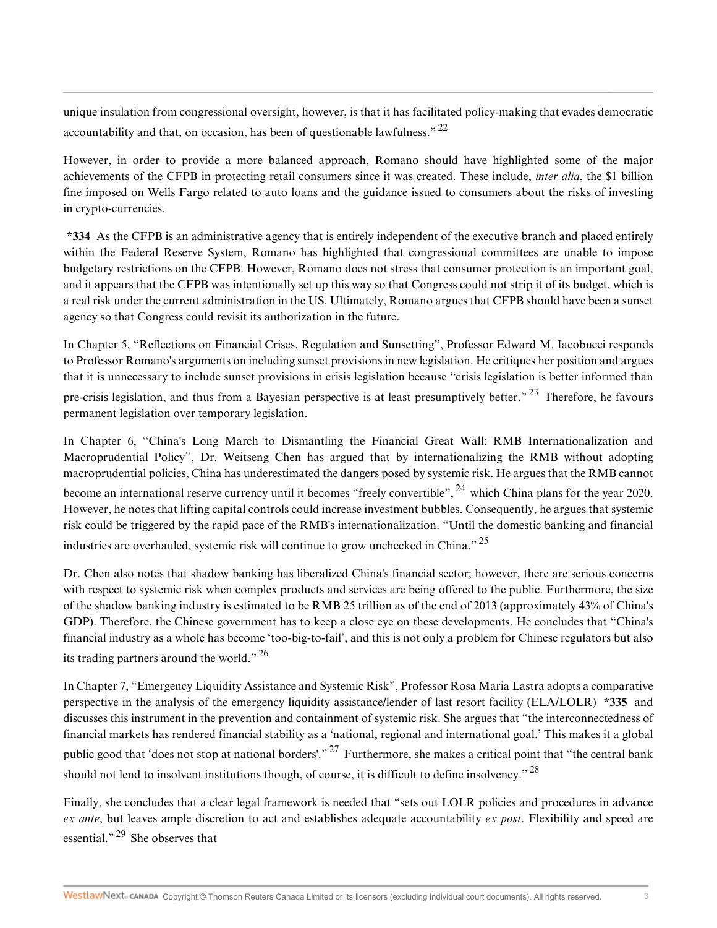<span id="page-2-0"></span>unique insulation from congressional oversight, however, is that it has facilitated policy-making that evades democratic accountability and that, on occasion, has been of questionable lawfulness."  $^{22}$  $^{22}$  $^{22}$ 

However, in order to provide a more balanced approach, Romano should have highlighted some of the major achievements of the CFPB in protecting retail consumers since it was created. These include, *inter alia*, the \$1 billion fine imposed on Wells Fargo related to auto loans and the guidance issued to consumers about the risks of investing in crypto-currencies.

**\*334** As the CFPB is an administrative agency that is entirely independent of the executive branch and placed entirely within the Federal Reserve System, Romano has highlighted that congressional committees are unable to impose budgetary restrictions on the CFPB. However, Romano does not stress that consumer protection is an important goal, and it appears that the CFPB was intentionally set up this way so that Congress could not strip it of its budget, which is a real risk under the current administration in the US. Ultimately, Romano argues that CFPB should have been a sunset agency so that Congress could revisit its authorization in the future.

In Chapter 5, "Reflections on Financial Crises, Regulation and Sunsetting", Professor Edward M. Iacobucci responds to Professor Romano's arguments on including sunset provisions in new legislation. He critiques her position and argues that it is unnecessary to include sunset provisions in crisis legislation because "crisis legislation is better informed than pre-crisis legislation, and thus from a Bayesian perspective is at least presumptively better."<sup>[23](#page-4-6)</sup> Therefore, he favours permanent legislation over temporary legislation.

<span id="page-2-2"></span><span id="page-2-1"></span>In Chapter 6, "China's Long March to Dismantling the Financial Great Wall: RMB Internationalization and Macroprudential Policy", Dr. Weitseng Chen has argued that by internationalizing the RMB without adopting macroprudential policies, China has underestimated the dangers posed by systemic risk. He argues that the RMB cannot become an international reserve currency until it becomes "freely convertible", <sup>[24](#page-4-7)</sup> which China plans for the year 2020. However, he notes that lifting capital controls could increase investment bubbles. Consequently, he argues that systemic risk could be triggered by the rapid pace of the RMB's internationalization. "Until the domestic banking and financial industries are overhauled, systemic risk will continue to grow unchecked in China." [25](#page-4-8)

<span id="page-2-3"></span>Dr. Chen also notes that shadow banking has liberalized China's financial sector; however, there are serious concerns with respect to systemic risk when complex products and services are being offered to the public. Furthermore, the size of the shadow banking industry is estimated to be RMB 25 trillion as of the end of 2013 (approximately 43% of China's GDP). Therefore, the Chinese government has to keep a close eye on these developments. He concludes that "China's financial industry as a whole has become 'too-big-to-fail', and this is not only a problem for Chinese regulators but also its trading partners around the world."<sup>[26](#page-4-9)</sup>

<span id="page-2-4"></span>In Chapter 7, "Emergency Liquidity Assistance and Systemic Risk", Professor Rosa Maria Lastra adopts a comparative perspective in the analysis of the emergency liquidity assistance/lender of last resort facility (ELA/LOLR) **\*335** and discusses this instrument in the prevention and containment of systemic risk. She argues that "the interconnectedness of financial markets has rendered financial stability as a 'national, regional and international goal.' This makes it a global public good that 'does not stop at national borders'." [27](#page-4-10) Furthermore, she makes a critical point that "the central bank should not lend to insolvent institutions though, of course, it is difficult to define insolvency." <sup>[28](#page-4-11)</sup>

<span id="page-2-7"></span><span id="page-2-6"></span><span id="page-2-5"></span>Finally, she concludes that a clear legal framework is needed that "sets out LOLR policies and procedures in advance *ex ante*, but leaves ample discretion to act and establishes adequate accountability *ex post*. Flexibility and speed are essential."<sup>[29](#page-4-12)</sup> She observes that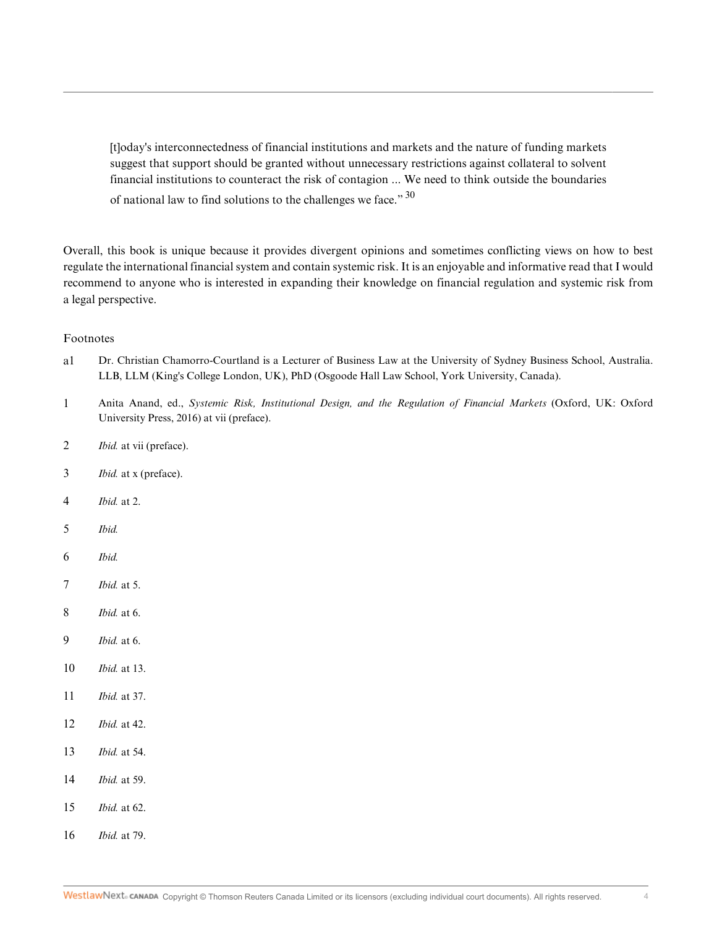<span id="page-3-17"></span>[t]oday's interconnectedness of financial institutions and markets and the nature of funding markets suggest that support should be granted without unnecessary restrictions against collateral to solvent financial institutions to counteract the risk of contagion ... We need to think outside the boundaries of national law to find solutions to the challenges we face." [30](#page-4-13)

Overall, this book is unique because it provides divergent opinions and sometimes conflicting views on how to best regulate the international financial system and contain systemic risk. It is an enjoyable and informative read that I would recommend to anyone who is interested in expanding their knowledge on financial regulation and systemic risk from a legal perspective.

### Footnotes

- <span id="page-3-0"></span>[a1](#page-0-0) Dr. Christian Chamorro-Courtland is a Lecturer of Business Law at the University of Sydney Business School, Australia. LLB, LLM (King's College London, UK), PhD (Osgoode Hall Law School, York University, Canada).
- <span id="page-3-1"></span>[1](#page-0-1) Anita Anand, ed., *Systemic Risk, Institutional Design, and the Regulation of Financial Markets* (Oxford, UK: Oxford University Press, 2016) at vii (preface).
- <span id="page-3-2"></span>[2](#page-0-2) *Ibid.* at vii (preface).
- <span id="page-3-3"></span>[3](#page-0-3) *Ibid.* at x (preface).
- <span id="page-3-4"></span>[4](#page-0-4) *Ibid.* at 2.
- <span id="page-3-5"></span>[5](#page-0-5) *Ibid.*
- <span id="page-3-6"></span>[6](#page-0-6) *Ibid.*
- <span id="page-3-7"></span>[7](#page-0-7) *Ibid.* at 5.
- <span id="page-3-8"></span>[8](#page-0-8) *Ibid.* at 6.
- <span id="page-3-9"></span>[9](#page-0-9) *Ibid.* at 6.
- <span id="page-3-10"></span>[10](#page-0-10) *Ibid.* at 13.
- <span id="page-3-11"></span>[11](#page-1-0) *Ibid.* at 37.
- <span id="page-3-12"></span>[12](#page-1-1) *Ibid.* at 42.
- <span id="page-3-13"></span>[13](#page-1-2) *Ibid.* at 54.
- <span id="page-3-14"></span>[14](#page-1-3) *Ibid.* at 59.
- <span id="page-3-15"></span>[15](#page-1-4) *Ibid.* at 62.
- <span id="page-3-16"></span>[16](#page-1-5) *Ibid.* at 79.